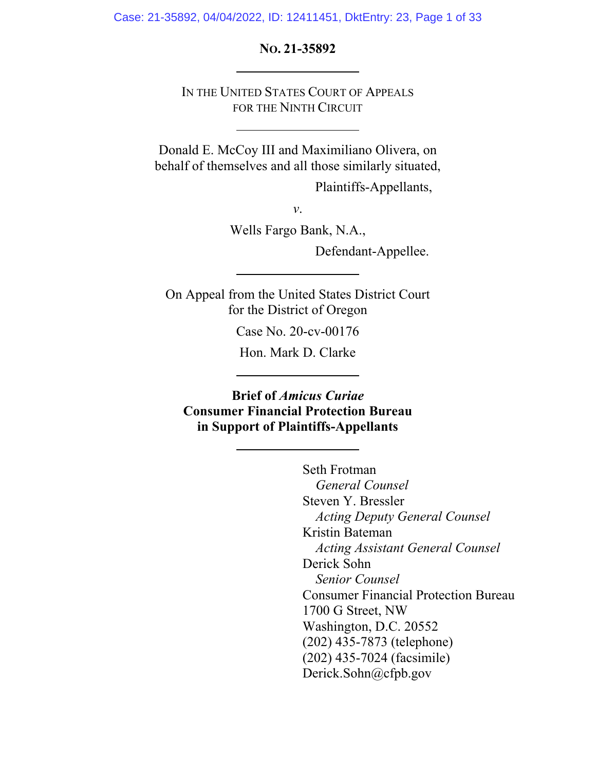Case: 21-35892, 04/04/2022, ID: 12411451, DktEntry: 23, Page 1 of 33

**NO. 21-35892** 

IN THE UNITED STATES COURT OF APPEALS FOR THE NINTH CIRCUIT

Donald E. McCoy III and Maximiliano Olivera, on behalf of themselves and all those similarly situated,

Plaintiffs-Appellants,

*v*.

Wells Fargo Bank, N.A.,

Defendant-Appellee.

On Appeal from the United States District Court for the District of Oregon

Case No. 20-cv-00176

Hon. Mark D. Clarke

**Brief of** *Amicus Curiae* **Consumer Financial Protection Bureau in Support of Plaintiffs-Appellants** 

> Seth Frotman *General Counsel* Steven Y. Bressler *Acting Deputy General Counsel*  Kristin Bateman *Acting Assistant General Counsel*  Derick Sohn *Senior Counsel*  Consumer Financial Protection Bureau 1700 G Street, NW Washington, D.C. 20552 (202) 435-7873 (telephone) (202) 435-7024 (facsimile) Derick.Sohn@cfpb.gov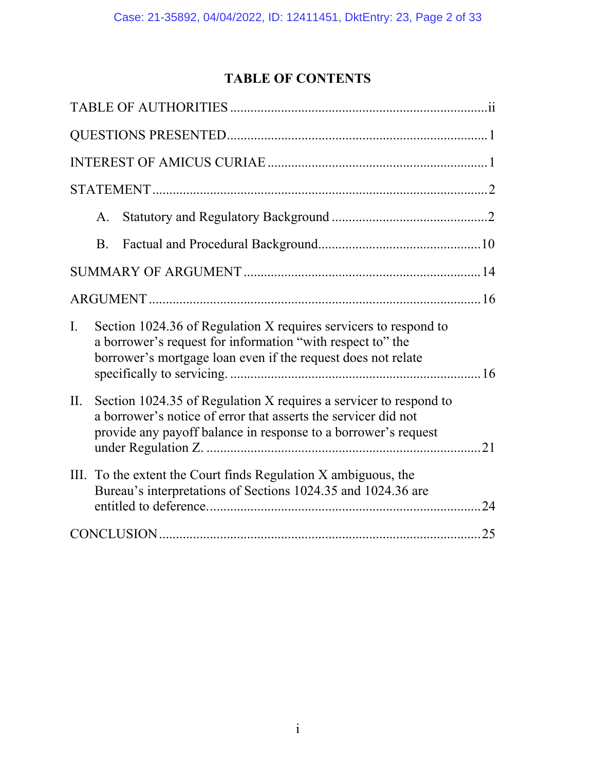# **TABLE OF CONTENTS**

|     | A.                                                                                                                                                                                                    |                                                                                                                                                                                                |    |
|-----|-------------------------------------------------------------------------------------------------------------------------------------------------------------------------------------------------------|------------------------------------------------------------------------------------------------------------------------------------------------------------------------------------------------|----|
|     | <b>B.</b>                                                                                                                                                                                             |                                                                                                                                                                                                |    |
|     |                                                                                                                                                                                                       |                                                                                                                                                                                                |    |
|     |                                                                                                                                                                                                       |                                                                                                                                                                                                |    |
| I.  |                                                                                                                                                                                                       | Section 1024.36 of Regulation X requires servicers to respond to<br>a borrower's request for information "with respect to" the<br>borrower's mortgage loan even if the request does not relate |    |
| II. | Section 1024.35 of Regulation X requires a servicer to respond to<br>a borrower's notice of error that asserts the servicer did not<br>provide any payoff balance in response to a borrower's request |                                                                                                                                                                                                |    |
|     |                                                                                                                                                                                                       | III. To the extent the Court finds Regulation X ambiguous, the<br>Bureau's interpretations of Sections 1024.35 and 1024.36 are                                                                 | 24 |
|     |                                                                                                                                                                                                       |                                                                                                                                                                                                |    |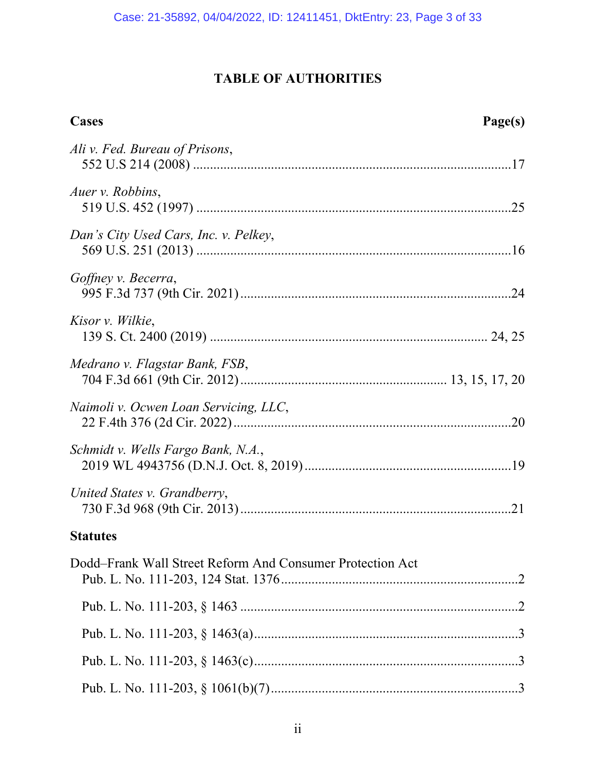# **TABLE OF AUTHORITIES**

| <b>Cases</b><br>Page(s)                                   |
|-----------------------------------------------------------|
| Ali v. Fed. Bureau of Prisons,                            |
| Auer v. Robbins,                                          |
| Dan's City Used Cars, Inc. v. Pelkey,                     |
| Goffney v. Becerra,                                       |
| Kisor v. Wilkie,                                          |
| Medrano v. Flagstar Bank, FSB,                            |
| Naimoli v. Ocwen Loan Servicing, LLC,                     |
| Schmidt v. Wells Fargo Bank, N.A.,                        |
| United States v. Grandberry,                              |
| <b>Statutes</b>                                           |
| Dodd-Frank Wall Street Reform And Consumer Protection Act |
|                                                           |
|                                                           |
|                                                           |
|                                                           |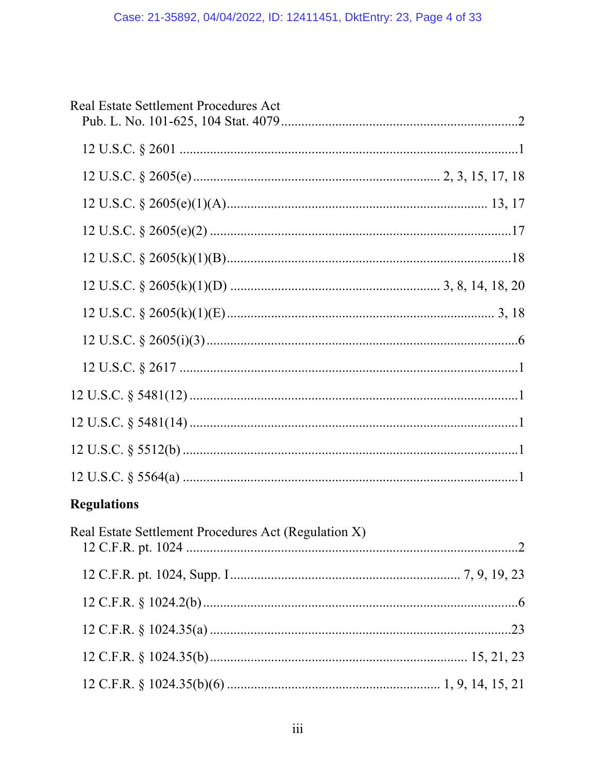| Real Estate Settlement Procedures Act |  |
|---------------------------------------|--|
|                                       |  |
|                                       |  |
|                                       |  |
|                                       |  |
|                                       |  |
|                                       |  |
|                                       |  |
|                                       |  |
| $12 \text{ U.S.C.} \S 2617 \dots 1$   |  |
|                                       |  |
|                                       |  |
|                                       |  |
|                                       |  |
| <b>Regulations</b>                    |  |

| Real Estate Settlement Procedures Act (Regulation X) |  |
|------------------------------------------------------|--|
|                                                      |  |
|                                                      |  |
|                                                      |  |
|                                                      |  |
|                                                      |  |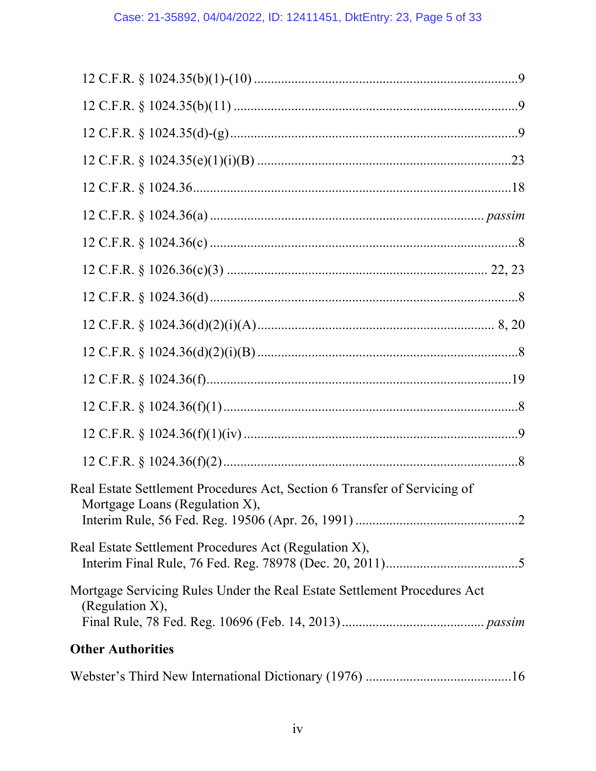| Real Estate Settlement Procedures Act, Section 6 Transfer of Servicing of<br>Mortgage Loans (Regulation X), |
|-------------------------------------------------------------------------------------------------------------|
| Real Estate Settlement Procedures Act (Regulation X),                                                       |
| Mortgage Servicing Rules Under the Real Estate Settlement Procedures Act<br>(Regulation $X$ ),              |
| <b>Other Authorities</b>                                                                                    |

|--|--|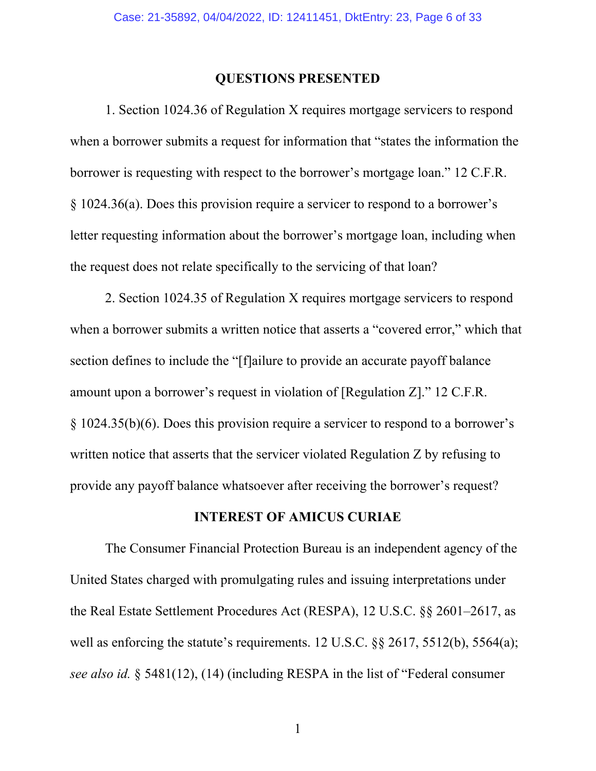### **QUESTIONS PRESENTED**

1. Section 1024.36 of Regulation X requires mortgage servicers to respond when a borrower submits a request for information that "states the information the borrower is requesting with respect to the borrower's mortgage loan." 12 C.F.R. § 1024.36(a). Does this provision require a servicer to respond to a borrower's letter requesting information about the borrower's mortgage loan, including when the request does not relate specifically to the servicing of that loan?

2. Section 1024.35 of Regulation X requires mortgage servicers to respond when a borrower submits a written notice that asserts a "covered error," which that section defines to include the "[f]ailure to provide an accurate payoff balance amount upon a borrower's request in violation of [Regulation Z]." 12 C.F.R. § 1024.35(b)(6). Does this provision require a servicer to respond to a borrower's written notice that asserts that the servicer violated Regulation Z by refusing to provide any payoff balance whatsoever after receiving the borrower's request?

### **INTEREST OF AMICUS CURIAE**

The Consumer Financial Protection Bureau is an independent agency of the United States charged with promulgating rules and issuing interpretations under the Real Estate Settlement Procedures Act (RESPA), 12 U.S.C. §§ 2601–2617, as well as enforcing the statute's requirements. 12 U.S.C. §§ 2617, 5512(b), 5564(a); *see also id.* § 5481(12), (14) (including RESPA in the list of "Federal consumer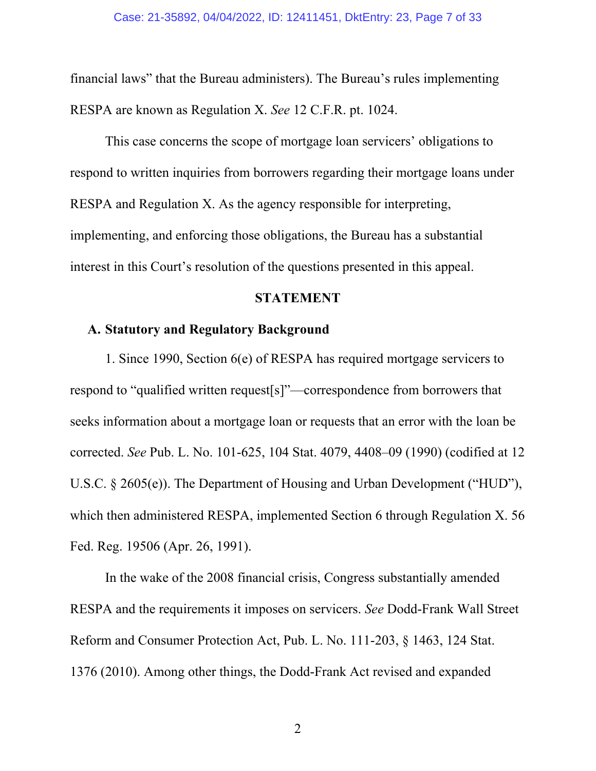financial laws" that the Bureau administers). The Bureau's rules implementing RESPA are known as Regulation X. *See* 12 C.F.R. pt. 1024.

This case concerns the scope of mortgage loan servicers' obligations to respond to written inquiries from borrowers regarding their mortgage loans under RESPA and Regulation X. As the agency responsible for interpreting, implementing, and enforcing those obligations, the Bureau has a substantial interest in this Court's resolution of the questions presented in this appeal.

#### **STATEMENT**

### **A. Statutory and Regulatory Background**

1. Since 1990, Section 6(e) of RESPA has required mortgage servicers to respond to "qualified written request[s]"—correspondence from borrowers that seeks information about a mortgage loan or requests that an error with the loan be corrected. *See* Pub. L. No. 101-625, 104 Stat. 4079, 4408–09 (1990) (codified at 12 U.S.C. § 2605(e)). The Department of Housing and Urban Development ("HUD"), which then administered RESPA, implemented Section 6 through Regulation X. 56 Fed. Reg. 19506 (Apr. 26, 1991).

In the wake of the 2008 financial crisis, Congress substantially amended RESPA and the requirements it imposes on servicers. *See* Dodd-Frank Wall Street Reform and Consumer Protection Act, Pub. L. No. 111-203, § 1463, 124 Stat. 1376 (2010). Among other things, the Dodd-Frank Act revised and expanded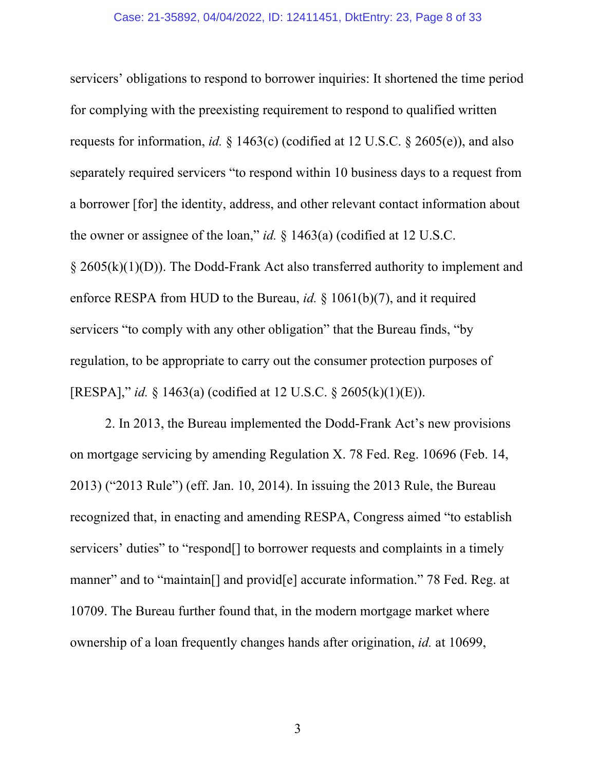servicers' obligations to respond to borrower inquiries: It shortened the time period for complying with the preexisting requirement to respond to qualified written requests for information, *id.* § 1463(c) (codified at 12 U.S.C. § 2605(e)), and also separately required servicers "to respond within 10 business days to a request from a borrower [for] the identity, address, and other relevant contact information about the owner or assignee of the loan," *id.* § 1463(a) (codified at 12 U.S.C.  $\S$  2605(k)(1)(D)). The Dodd-Frank Act also transferred authority to implement and enforce RESPA from HUD to the Bureau, *id.* § 1061(b)(7), and it required servicers "to comply with any other obligation" that the Bureau finds, "by regulation, to be appropriate to carry out the consumer protection purposes of [RESPA]," *id.* § 1463(a) (codified at 12 U.S.C. § 2605(k)(1)(E)).

2. In 2013, the Bureau implemented the Dodd-Frank Act's new provisions on mortgage servicing by amending Regulation X. 78 Fed. Reg. 10696 (Feb. 14, 2013) ("2013 Rule") (eff. Jan. 10, 2014). In issuing the 2013 Rule, the Bureau recognized that, in enacting and amending RESPA, Congress aimed "to establish servicers' duties" to "respond[] to borrower requests and complaints in a timely manner" and to "maintain[] and provid[e] accurate information." 78 Fed. Reg. at 10709. The Bureau further found that, in the modern mortgage market where ownership of a loan frequently changes hands after origination, *id.* at 10699,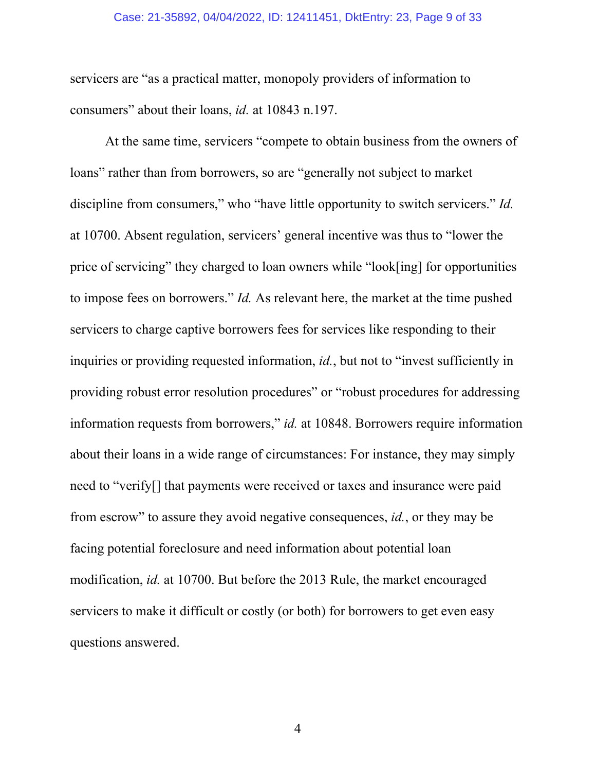#### Case: 21-35892, 04/04/2022, ID: 12411451, DktEntry: 23, Page 9 of 33

servicers are "as a practical matter, monopoly providers of information to consumers" about their loans, *id.* at 10843 n.197.

At the same time, servicers "compete to obtain business from the owners of loans" rather than from borrowers, so are "generally not subject to market discipline from consumers," who "have little opportunity to switch servicers." *Id.* at 10700. Absent regulation, servicers' general incentive was thus to "lower the price of servicing" they charged to loan owners while "look[ing] for opportunities to impose fees on borrowers." *Id.* As relevant here, the market at the time pushed servicers to charge captive borrowers fees for services like responding to their inquiries or providing requested information, *id.*, but not to "invest sufficiently in providing robust error resolution procedures" or "robust procedures for addressing information requests from borrowers," *id.* at 10848. Borrowers require information about their loans in a wide range of circumstances: For instance, they may simply need to "verify[] that payments were received or taxes and insurance were paid from escrow" to assure they avoid negative consequences, *id.*, or they may be facing potential foreclosure and need information about potential loan modification, *id.* at 10700. But before the 2013 Rule, the market encouraged servicers to make it difficult or costly (or both) for borrowers to get even easy questions answered.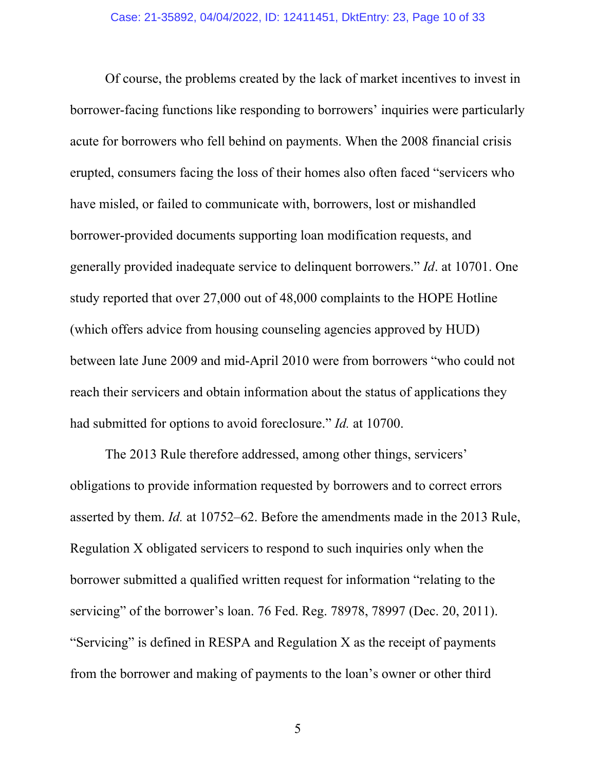Of course, the problems created by the lack of market incentives to invest in borrower-facing functions like responding to borrowers' inquiries were particularly acute for borrowers who fell behind on payments. When the 2008 financial crisis erupted, consumers facing the loss of their homes also often faced "servicers who have misled, or failed to communicate with, borrowers, lost or mishandled borrower-provided documents supporting loan modification requests, and generally provided inadequate service to delinquent borrowers." *Id*. at 10701. One study reported that over 27,000 out of 48,000 complaints to the HOPE Hotline (which offers advice from housing counseling agencies approved by HUD) between late June 2009 and mid-April 2010 were from borrowers "who could not reach their servicers and obtain information about the status of applications they had submitted for options to avoid foreclosure." *Id.* at 10700.

The 2013 Rule therefore addressed, among other things, servicers' obligations to provide information requested by borrowers and to correct errors asserted by them. *Id.* at 10752–62. Before the amendments made in the 2013 Rule, Regulation X obligated servicers to respond to such inquiries only when the borrower submitted a qualified written request for information "relating to the servicing" of the borrower's loan. 76 Fed. Reg. 78978, 78997 (Dec. 20, 2011). "Servicing" is defined in RESPA and Regulation X as the receipt of payments from the borrower and making of payments to the loan's owner or other third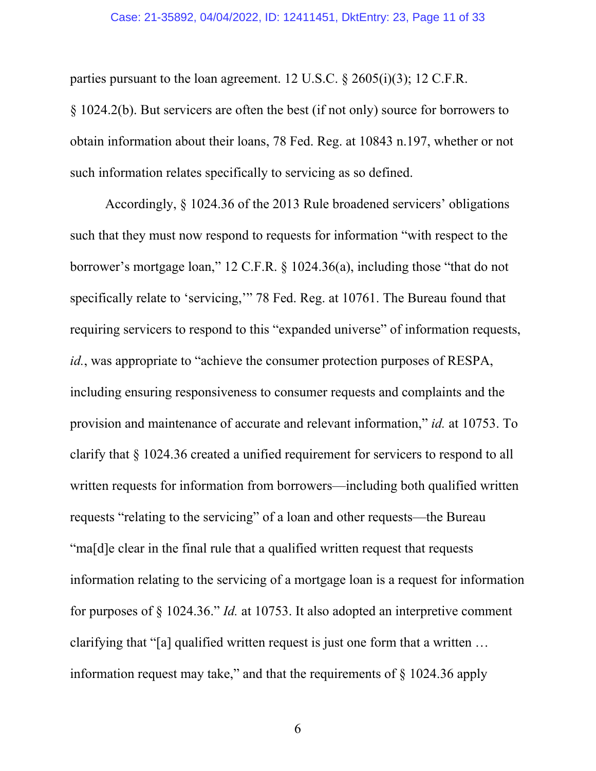#### Case: 21-35892, 04/04/2022, ID: 12411451, DktEntry: 23, Page 11 of 33

parties pursuant to the loan agreement. 12 U.S.C. § 2605(i)(3); 12 C.F.R.

§ 1024.2(b). But servicers are often the best (if not only) source for borrowers to obtain information about their loans, 78 Fed. Reg. at 10843 n.197, whether or not such information relates specifically to servicing as so defined.

Accordingly, § 1024.36 of the 2013 Rule broadened servicers' obligations such that they must now respond to requests for information "with respect to the borrower's mortgage loan," 12 C.F.R. § 1024.36(a), including those "that do not specifically relate to 'servicing,'" 78 Fed. Reg. at 10761. The Bureau found that requiring servicers to respond to this "expanded universe" of information requests, *id.*, was appropriate to "achieve the consumer protection purposes of RESPA, including ensuring responsiveness to consumer requests and complaints and the provision and maintenance of accurate and relevant information," *id.* at 10753. To clarify that § 1024.36 created a unified requirement for servicers to respond to all written requests for information from borrowers—including both qualified written requests "relating to the servicing" of a loan and other requests—the Bureau "ma[d]e clear in the final rule that a qualified written request that requests information relating to the servicing of a mortgage loan is a request for information for purposes of § 1024.36." *Id.* at 10753. It also adopted an interpretive comment clarifying that "[a] qualified written request is just one form that a written … information request may take," and that the requirements of  $\S$  1024.36 apply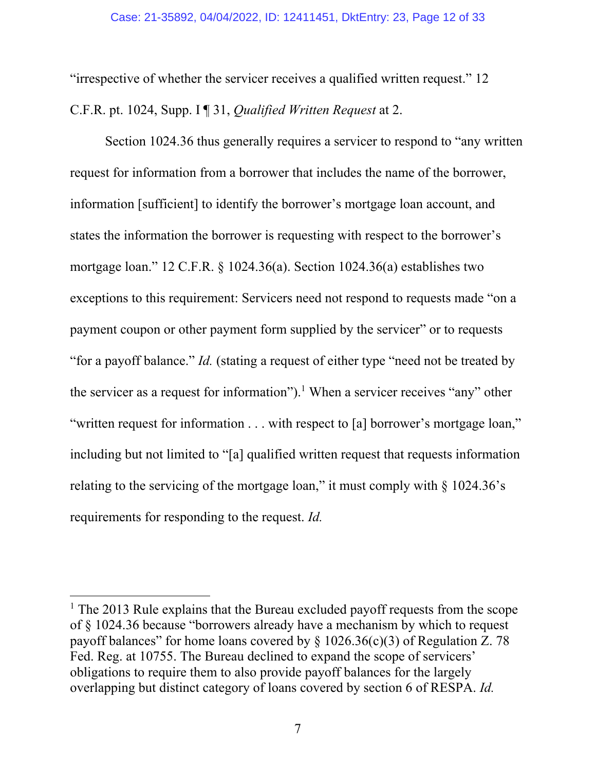"irrespective of whether the servicer receives a qualified written request." 12 C.F.R. pt. 1024, Supp. I ¶ 31, *Qualified Written Request* at 2.

Section 1024.36 thus generally requires a servicer to respond to "any written request for information from a borrower that includes the name of the borrower, information [sufficient] to identify the borrower's mortgage loan account, and states the information the borrower is requesting with respect to the borrower's mortgage loan." 12 C.F.R. § 1024.36(a). Section 1024.36(a) establishes two exceptions to this requirement: Servicers need not respond to requests made "on a payment coupon or other payment form supplied by the servicer" or to requests "for a payoff balance." *Id.* (stating a request of either type "need not be treated by the servicer as a request for information").<sup>1</sup> When a servicer receives "any" other "written request for information . . . with respect to [a] borrower's mortgage loan," including but not limited to "[a] qualified written request that requests information relating to the servicing of the mortgage loan," it must comply with § 1024.36's requirements for responding to the request. *Id.*

<sup>&</sup>lt;sup>1</sup> The 2013 Rule explains that the Bureau excluded payoff requests from the scope of § 1024.36 because "borrowers already have a mechanism by which to request payoff balances" for home loans covered by  $\S 1026.36(c)(3)$  of Regulation Z. 78 Fed. Reg. at 10755. The Bureau declined to expand the scope of servicers' obligations to require them to also provide payoff balances for the largely overlapping but distinct category of loans covered by section 6 of RESPA. *Id.*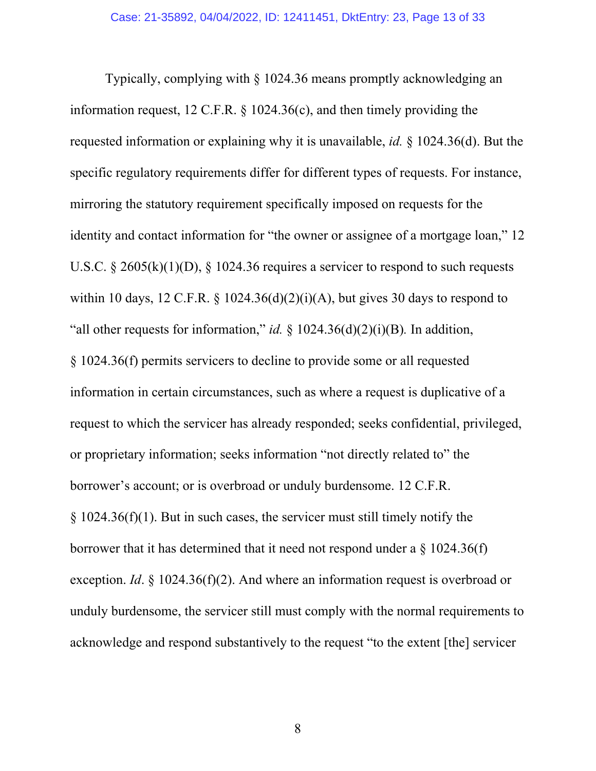Typically, complying with § 1024.36 means promptly acknowledging an information request, 12 C.F.R. § 1024.36(c), and then timely providing the requested information or explaining why it is unavailable, *id.* § 1024.36(d). But the specific regulatory requirements differ for different types of requests. For instance, mirroring the statutory requirement specifically imposed on requests for the identity and contact information for "the owner or assignee of a mortgage loan," 12 U.S.C. § 2605(k)(1)(D), § 1024.36 requires a servicer to respond to such requests within 10 days, 12 C.F.R. § 1024.36(d)(2)(i)(A), but gives 30 days to respond to "all other requests for information," *id.* § 1024.36(d)(2)(i)(B)*.* In addition, § 1024.36(f) permits servicers to decline to provide some or all requested information in certain circumstances, such as where a request is duplicative of a request to which the servicer has already responded; seeks confidential, privileged, or proprietary information; seeks information "not directly related to" the borrower's account; or is overbroad or unduly burdensome. 12 C.F.R.  $\S 1024.36(f)(1)$ . But in such cases, the servicer must still timely notify the borrower that it has determined that it need not respond under a § 1024.36(f) exception. *Id*. § 1024.36(f)(2). And where an information request is overbroad or unduly burdensome, the servicer still must comply with the normal requirements to acknowledge and respond substantively to the request "to the extent [the] servicer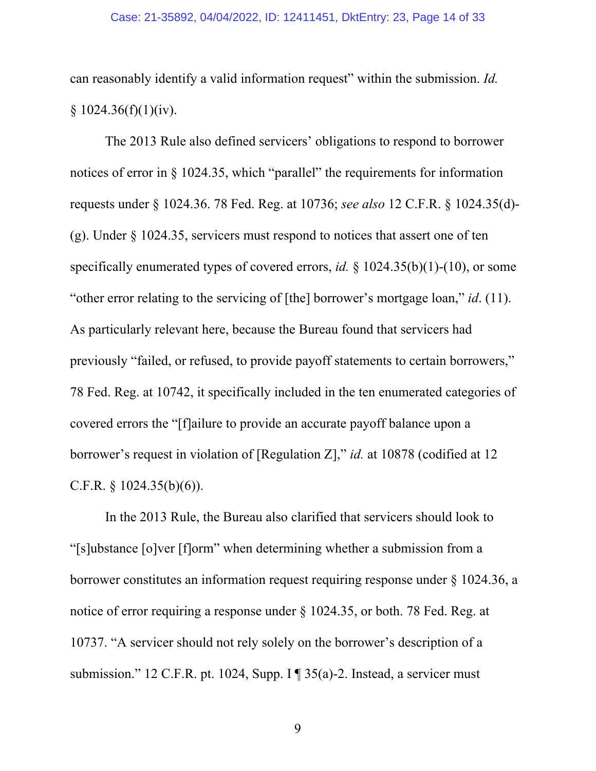#### Case: 21-35892, 04/04/2022, ID: 12411451, DktEntry: 23, Page 14 of 33

can reasonably identify a valid information request" within the submission. *Id.*  $§ 1024.36(f)(1)(iv).$ 

The 2013 Rule also defined servicers' obligations to respond to borrower notices of error in § 1024.35, which "parallel" the requirements for information requests under § 1024.36. 78 Fed. Reg. at 10736; *see also* 12 C.F.R. § 1024.35(d)- (g). Under § 1024.35, servicers must respond to notices that assert one of ten specifically enumerated types of covered errors, *id.* § 1024.35(b)(1)-(10), or some "other error relating to the servicing of [the] borrower's mortgage loan," *id*. (11). As particularly relevant here, because the Bureau found that servicers had previously "failed, or refused, to provide payoff statements to certain borrowers," 78 Fed. Reg. at 10742, it specifically included in the ten enumerated categories of covered errors the "[f]ailure to provide an accurate payoff balance upon a borrower's request in violation of [Regulation Z]," *id.* at 10878 (codified at 12 C.F.R. § 1024.35(b)(6)).

In the 2013 Rule, the Bureau also clarified that servicers should look to "[s]ubstance [o]ver [f]orm" when determining whether a submission from a borrower constitutes an information request requiring response under § 1024.36, a notice of error requiring a response under § 1024.35, or both. 78 Fed. Reg. at 10737. "A servicer should not rely solely on the borrower's description of a submission." 12 C.F.R. pt. 1024, Supp. I ¶ 35(a)-2. Instead, a servicer must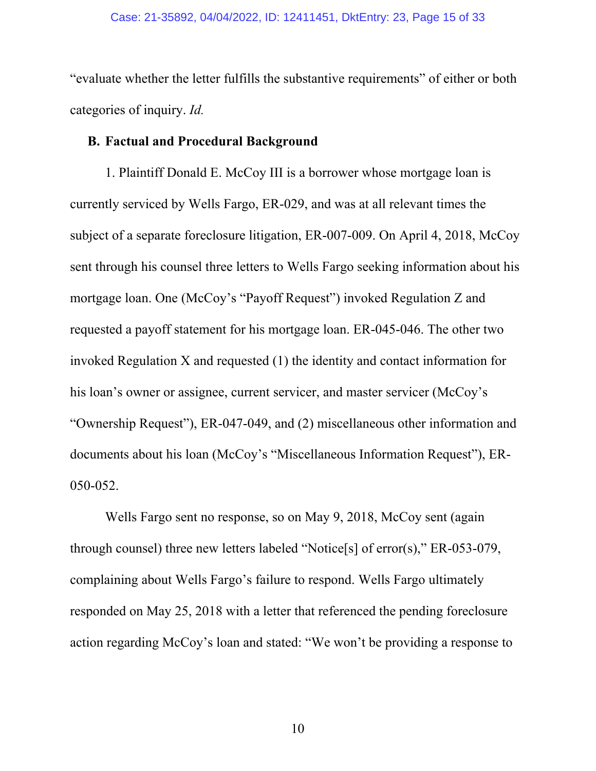"evaluate whether the letter fulfills the substantive requirements" of either or both categories of inquiry. *Id.*

### **B. Factual and Procedural Background**

1. Plaintiff Donald E. McCoy III is a borrower whose mortgage loan is currently serviced by Wells Fargo, ER-029, and was at all relevant times the subject of a separate foreclosure litigation, ER-007-009. On April 4, 2018, McCoy sent through his counsel three letters to Wells Fargo seeking information about his mortgage loan. One (McCoy's "Payoff Request") invoked Regulation Z and requested a payoff statement for his mortgage loan. ER-045-046. The other two invoked Regulation X and requested (1) the identity and contact information for his loan's owner or assignee, current servicer, and master servicer (McCoy's "Ownership Request"), ER-047-049, and (2) miscellaneous other information and documents about his loan (McCoy's "Miscellaneous Information Request"), ER-050-052.

Wells Fargo sent no response, so on May 9, 2018, McCoy sent (again through counsel) three new letters labeled "Notice[s] of error(s)," ER-053-079, complaining about Wells Fargo's failure to respond. Wells Fargo ultimately responded on May 25, 2018 with a letter that referenced the pending foreclosure action regarding McCoy's loan and stated: "We won't be providing a response to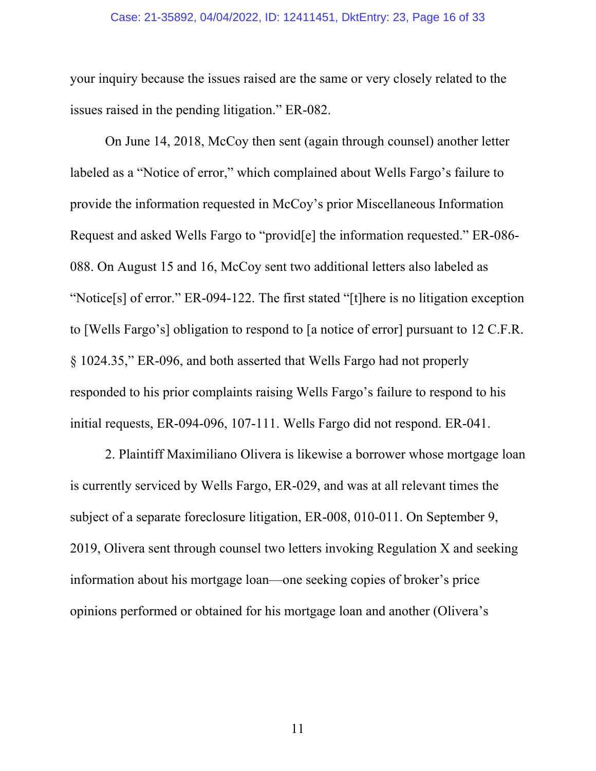#### Case: 21-35892, 04/04/2022, ID: 12411451, DktEntry: 23, Page 16 of 33

your inquiry because the issues raised are the same or very closely related to the issues raised in the pending litigation." ER-082.

On June 14, 2018, McCoy then sent (again through counsel) another letter labeled as a "Notice of error," which complained about Wells Fargo's failure to provide the information requested in McCoy's prior Miscellaneous Information Request and asked Wells Fargo to "provid[e] the information requested." ER-086- 088. On August 15 and 16, McCoy sent two additional letters also labeled as "Notice[s] of error." ER-094-122. The first stated "[t]here is no litigation exception to [Wells Fargo's] obligation to respond to [a notice of error] pursuant to 12 C.F.R. § 1024.35," ER-096, and both asserted that Wells Fargo had not properly responded to his prior complaints raising Wells Fargo's failure to respond to his initial requests, ER-094-096, 107-111. Wells Fargo did not respond. ER-041.

2. Plaintiff Maximiliano Olivera is likewise a borrower whose mortgage loan is currently serviced by Wells Fargo, ER-029, and was at all relevant times the subject of a separate foreclosure litigation, ER-008, 010-011. On September 9, 2019, Olivera sent through counsel two letters invoking Regulation X and seeking information about his mortgage loan—one seeking copies of broker's price opinions performed or obtained for his mortgage loan and another (Olivera's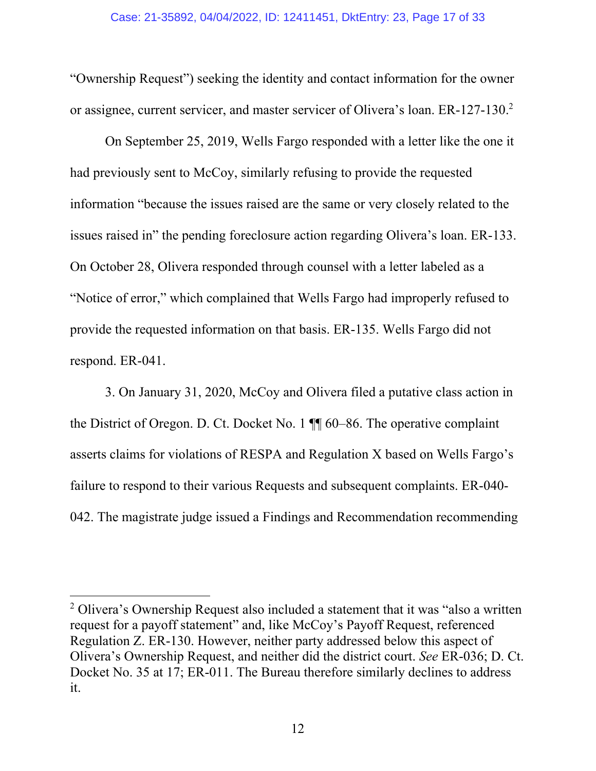"Ownership Request") seeking the identity and contact information for the owner or assignee, current servicer, and master servicer of Olivera's loan. ER-127-130.<sup>2</sup>

On September 25, 2019, Wells Fargo responded with a letter like the one it had previously sent to McCoy, similarly refusing to provide the requested information "because the issues raised are the same or very closely related to the issues raised in" the pending foreclosure action regarding Olivera's loan. ER-133. On October 28, Olivera responded through counsel with a letter labeled as a "Notice of error," which complained that Wells Fargo had improperly refused to provide the requested information on that basis. ER-135. Wells Fargo did not respond. ER-041.

3. On January 31, 2020, McCoy and Olivera filed a putative class action in the District of Oregon. D. Ct. Docket No. 1 ¶¶ 60–86. The operative complaint asserts claims for violations of RESPA and Regulation X based on Wells Fargo's failure to respond to their various Requests and subsequent complaints. ER-040- 042. The magistrate judge issued a Findings and Recommendation recommending

<sup>&</sup>lt;sup>2</sup> Olivera's Ownership Request also included a statement that it was "also a written request for a payoff statement" and, like McCoy's Payoff Request, referenced Regulation Z. ER-130. However, neither party addressed below this aspect of Olivera's Ownership Request, and neither did the district court. *See* ER-036; D. Ct. Docket No. 35 at 17; ER-011. The Bureau therefore similarly declines to address it.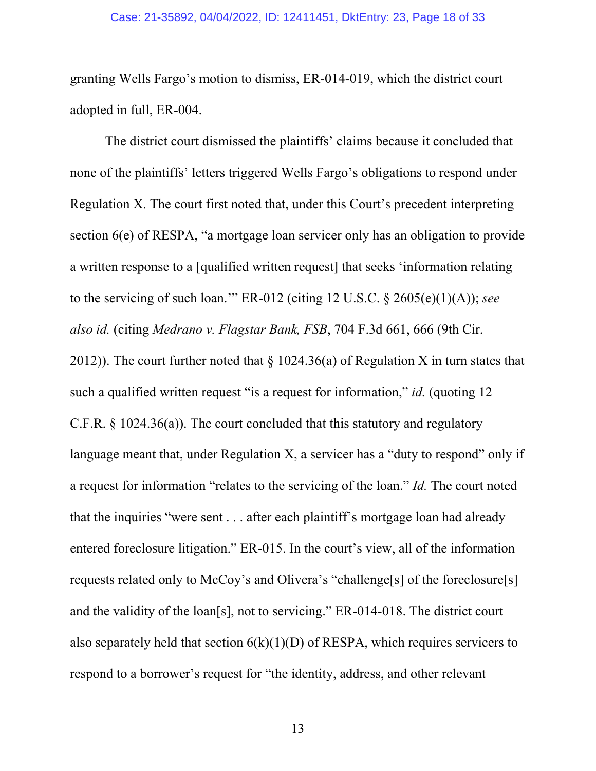#### Case: 21-35892, 04/04/2022, ID: 12411451, DktEntry: 23, Page 18 of 33

granting Wells Fargo's motion to dismiss, ER-014-019, which the district court adopted in full, ER-004.

The district court dismissed the plaintiffs' claims because it concluded that none of the plaintiffs' letters triggered Wells Fargo's obligations to respond under Regulation X. The court first noted that, under this Court's precedent interpreting section 6(e) of RESPA, "a mortgage loan servicer only has an obligation to provide a written response to a [qualified written request] that seeks 'information relating to the servicing of such loan.'" ER-012 (citing 12 U.S.C. § 2605(e)(1)(A)); *see also id.* (citing *Medrano v. Flagstar Bank, FSB*, 704 F.3d 661, 666 (9th Cir. 2012)). The court further noted that  $\S 1024.36(a)$  of Regulation X in turn states that such a qualified written request "is a request for information," *id.* (quoting 12 C.F.R. § 1024.36(a)). The court concluded that this statutory and regulatory language meant that, under Regulation X, a servicer has a "duty to respond" only if a request for information "relates to the servicing of the loan." *Id.* The court noted that the inquiries "were sent . . . after each plaintiff's mortgage loan had already entered foreclosure litigation." ER-015. In the court's view, all of the information requests related only to McCoy's and Olivera's "challenge[s] of the foreclosure[s] and the validity of the loan[s], not to servicing." ER-014-018. The district court also separately held that section  $6(k)(1)(D)$  of RESPA, which requires servicers to respond to a borrower's request for "the identity, address, and other relevant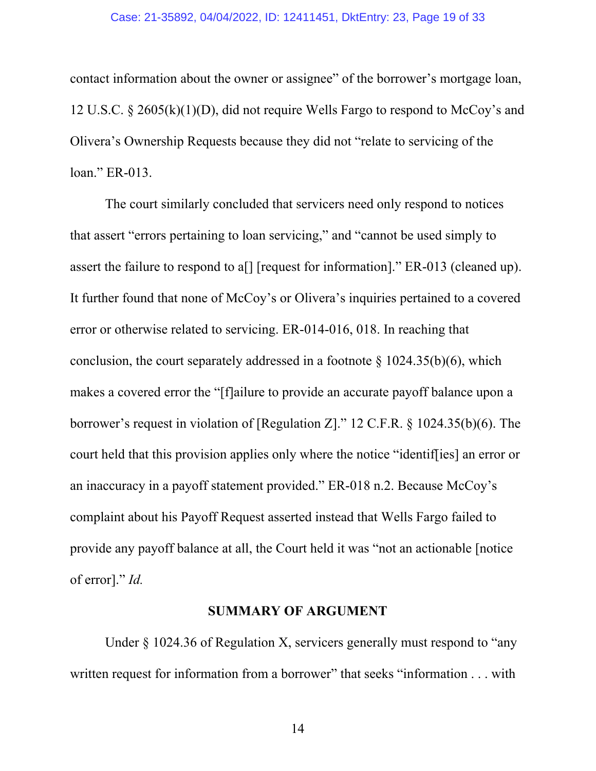#### Case: 21-35892, 04/04/2022, ID: 12411451, DktEntry: 23, Page 19 of 33

contact information about the owner or assignee" of the borrower's mortgage loan, 12 U.S.C. § 2605(k)(1)(D), did not require Wells Fargo to respond to McCoy's and Olivera's Ownership Requests because they did not "relate to servicing of the loan." ER-013.

The court similarly concluded that servicers need only respond to notices that assert "errors pertaining to loan servicing," and "cannot be used simply to assert the failure to respond to a[] [request for information]." ER-013 (cleaned up). It further found that none of McCoy's or Olivera's inquiries pertained to a covered error or otherwise related to servicing. ER-014-016, 018. In reaching that conclusion, the court separately addressed in a footnote  $\S$  1024.35(b)(6), which makes a covered error the "[f]ailure to provide an accurate payoff balance upon a borrower's request in violation of [Regulation Z]." 12 C.F.R. § 1024.35(b)(6). The court held that this provision applies only where the notice "identif[ies] an error or an inaccuracy in a payoff statement provided." ER-018 n.2. Because McCoy's complaint about his Payoff Request asserted instead that Wells Fargo failed to provide any payoff balance at all, the Court held it was "not an actionable [notice of error]." *Id.*

### **SUMMARY OF ARGUMENT**

 Under § 1024.36 of Regulation X, servicers generally must respond to "any written request for information from a borrower" that seeks "information . . . with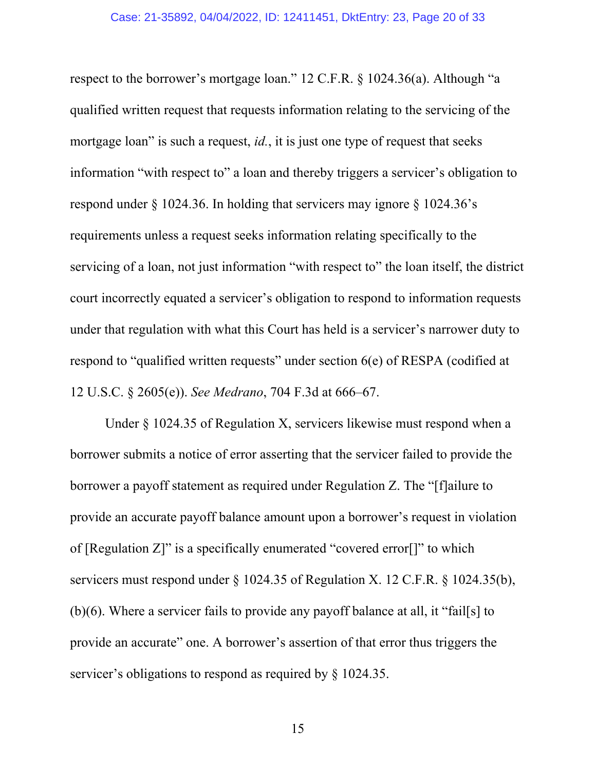respect to the borrower's mortgage loan." 12 C.F.R. § 1024.36(a). Although "a qualified written request that requests information relating to the servicing of the mortgage loan" is such a request, *id.*, it is just one type of request that seeks information "with respect to" a loan and thereby triggers a servicer's obligation to respond under  $\S$  1024.36. In holding that servicers may ignore  $\S$  1024.36's requirements unless a request seeks information relating specifically to the servicing of a loan, not just information "with respect to" the loan itself, the district court incorrectly equated a servicer's obligation to respond to information requests under that regulation with what this Court has held is a servicer's narrower duty to respond to "qualified written requests" under section 6(e) of RESPA (codified at 12 U.S.C. § 2605(e)). *See Medrano*, 704 F.3d at 666–67.

 Under § 1024.35 of Regulation X, servicers likewise must respond when a borrower submits a notice of error asserting that the servicer failed to provide the borrower a payoff statement as required under Regulation Z. The "[f]ailure to provide an accurate payoff balance amount upon a borrower's request in violation of [Regulation Z]" is a specifically enumerated "covered error[]" to which servicers must respond under § 1024.35 of Regulation X. 12 C.F.R. § 1024.35(b), (b)(6). Where a servicer fails to provide any payoff balance at all, it "fail[s] to provide an accurate" one. A borrower's assertion of that error thus triggers the servicer's obligations to respond as required by § 1024.35.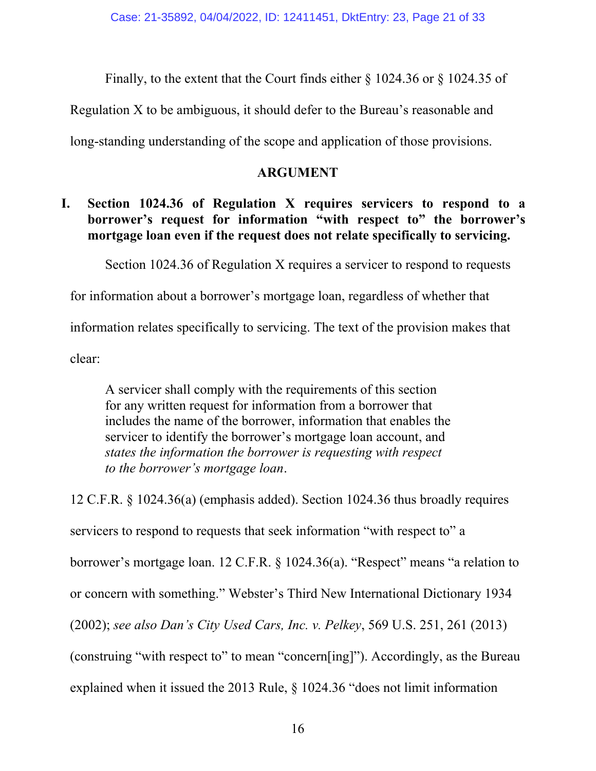Finally, to the extent that the Court finds either § 1024.36 or § 1024.35 of

Regulation X to be ambiguous, it should defer to the Bureau's reasonable and

long-standing understanding of the scope and application of those provisions.

### **ARGUMENT**

# **I. Section 1024.36 of Regulation X requires servicers to respond to a borrower's request for information "with respect to" the borrower's mortgage loan even if the request does not relate specifically to servicing.**

Section 1024.36 of Regulation X requires a servicer to respond to requests

for information about a borrower's mortgage loan, regardless of whether that

information relates specifically to servicing. The text of the provision makes that

clear:

A servicer shall comply with the requirements of this section for any written request for information from a borrower that includes the name of the borrower, information that enables the servicer to identify the borrower's mortgage loan account, and *states the information the borrower is requesting with respect to the borrower's mortgage loan*.

12 C.F.R. § 1024.36(a) (emphasis added). Section 1024.36 thus broadly requires servicers to respond to requests that seek information "with respect to" a borrower's mortgage loan. 12 C.F.R. § 1024.36(a). "Respect" means "a relation to or concern with something." Webster's Third New International Dictionary 1934 (2002); *see also Dan's City Used Cars, Inc. v. Pelkey*, 569 U.S. 251, 261 (2013) (construing "with respect to" to mean "concern[ing]"). Accordingly, as the Bureau explained when it issued the 2013 Rule, § 1024.36 "does not limit information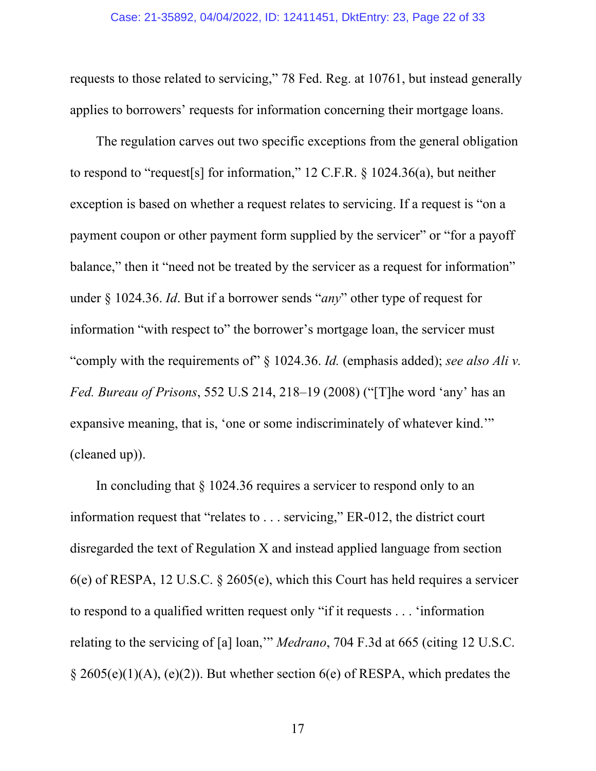requests to those related to servicing," 78 Fed. Reg. at 10761, but instead generally applies to borrowers' requests for information concerning their mortgage loans.

The regulation carves out two specific exceptions from the general obligation to respond to "request[s] for information," 12 C.F.R. § 1024.36(a), but neither exception is based on whether a request relates to servicing. If a request is "on a payment coupon or other payment form supplied by the servicer" or "for a payoff balance," then it "need not be treated by the servicer as a request for information" under § 1024.36. *Id*. But if a borrower sends "*any*" other type of request for information "with respect to" the borrower's mortgage loan, the servicer must "comply with the requirements of" § 1024.36. *Id.* (emphasis added); *see also Ali v. Fed. Bureau of Prisons*, 552 U.S 214, 218–19 (2008) ("[T]he word 'any' has an expansive meaning, that is, 'one or some indiscriminately of whatever kind.'" (cleaned up)).

In concluding that § 1024.36 requires a servicer to respond only to an information request that "relates to . . . servicing," ER-012, the district court disregarded the text of Regulation X and instead applied language from section 6(e) of RESPA, 12 U.S.C. § 2605(e), which this Court has held requires a servicer to respond to a qualified written request only "if it requests . . . 'information relating to the servicing of [a] loan,'" *Medrano*, 704 F.3d at 665 (citing 12 U.S.C.  $\S$  2605(e)(1)(A), (e)(2)). But whether section 6(e) of RESPA, which predates the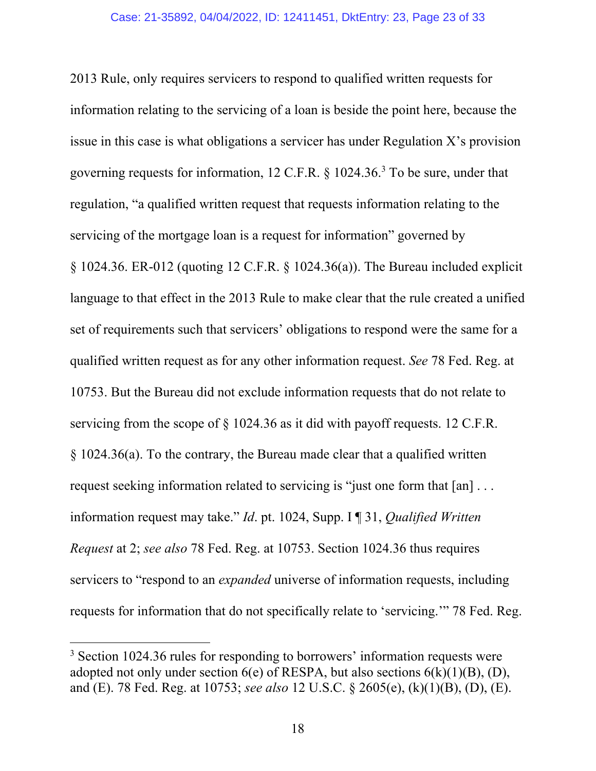2013 Rule, only requires servicers to respond to qualified written requests for information relating to the servicing of a loan is beside the point here, because the issue in this case is what obligations a servicer has under Regulation X's provision governing requests for information,  $12 \text{ C.F.R.}$  §  $1024.36$ .<sup>3</sup> To be sure, under that regulation, "a qualified written request that requests information relating to the servicing of the mortgage loan is a request for information" governed by § 1024.36. ER-012 (quoting 12 C.F.R. § 1024.36(a)). The Bureau included explicit language to that effect in the 2013 Rule to make clear that the rule created a unified set of requirements such that servicers' obligations to respond were the same for a qualified written request as for any other information request. *See* 78 Fed. Reg. at 10753. But the Bureau did not exclude information requests that do not relate to servicing from the scope of § 1024.36 as it did with payoff requests. 12 C.F.R. § 1024.36(a). To the contrary, the Bureau made clear that a qualified written request seeking information related to servicing is "just one form that [an] . . . information request may take." *Id*. pt. 1024, Supp. I ¶ 31, *Qualified Written Request* at 2; *see also* 78 Fed. Reg. at 10753. Section 1024.36 thus requires servicers to "respond to an *expanded* universe of information requests, including requests for information that do not specifically relate to 'servicing.'" 78 Fed. Reg.

<sup>&</sup>lt;sup>3</sup> Section 1024.36 rules for responding to borrowers' information requests were adopted not only under section  $6(e)$  of RESPA, but also sections  $6(k)(1)(B)$ , (D), and (E). 78 Fed. Reg. at 10753; *see also* 12 U.S.C. § 2605(e), (k)(1)(B), (D), (E).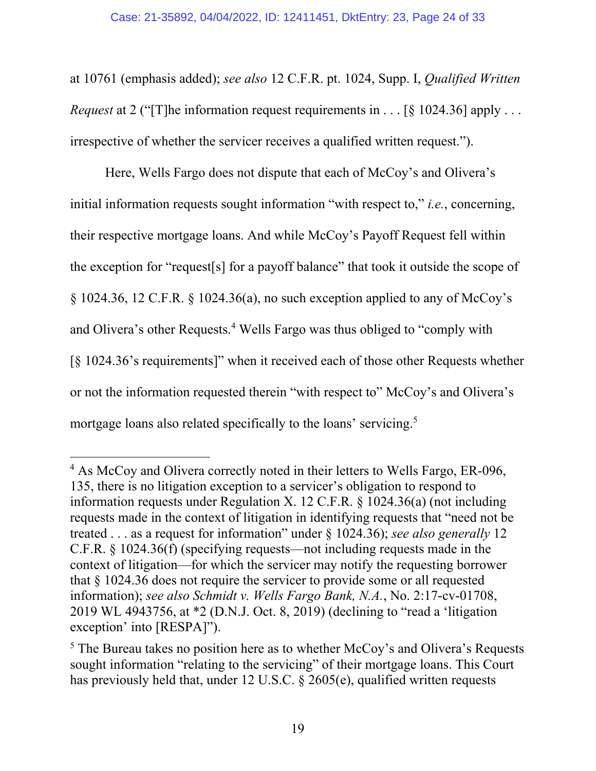at 10761 (emphasis added); *see also* 12 C.F.R. pt. 1024, Supp. I, *Qualified Written Request* at 2 ("[T]he information request requirements in . . . [§ 1024.36] apply . . . irrespective of whether the servicer receives a qualified written request.").

Here, Wells Fargo does not dispute that each of McCoy's and Olivera's initial information requests sought information "with respect to," *i.e.*, concerning, their respective mortgage loans. And while McCoy's Payoff Request fell within the exception for "request[s] for a payoff balance" that took it outside the scope of § 1024.36, 12 C.F.R. § 1024.36(a), no such exception applied to any of McCoy's and Olivera's other Requests.<sup>4</sup> Wells Fargo was thus obliged to "comply with [§ 1024.36's requirements]" when it received each of those other Requests whether or not the information requested therein "with respect to" McCoy's and Olivera's mortgage loans also related specifically to the loans' servicing.<sup>5</sup>

<sup>&</sup>lt;sup>4</sup> As McCoy and Olivera correctly noted in their letters to Wells Fargo, ER-096, 135, there is no litigation exception to a servicer's obligation to respond to information requests under Regulation X. 12 C.F.R. § 1024.36(a) (not including requests made in the context of litigation in identifying requests that "need not be treated . . . as a request for information" under § 1024.36); *see also generally* 12 C.F.R. § 1024.36(f) (specifying requests—not including requests made in the context of litigation—for which the servicer may notify the requesting borrower that § 1024.36 does not require the servicer to provide some or all requested information); *see also Schmidt v. Wells Fargo Bank, N.A.*, No. 2:17-cv-01708, 2019 WL 4943756, at \*2 (D.N.J. Oct. 8, 2019) (declining to "read a 'litigation exception' into [RESPA]").

 $<sup>5</sup>$  The Bureau takes no position here as to whether McCoy's and Olivera's Requests</sup> sought information "relating to the servicing" of their mortgage loans. This Court has previously held that, under 12 U.S.C. § 2605(e), qualified written requests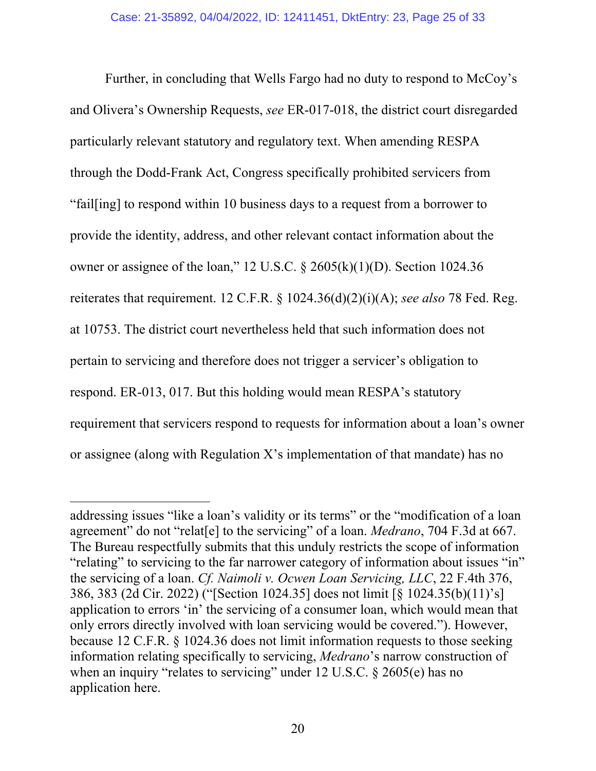Further, in concluding that Wells Fargo had no duty to respond to McCoy's and Olivera's Ownership Requests, *see* ER-017-018, the district court disregarded particularly relevant statutory and regulatory text. When amending RESPA through the Dodd-Frank Act, Congress specifically prohibited servicers from "fail[ing] to respond within 10 business days to a request from a borrower to provide the identity, address, and other relevant contact information about the owner or assignee of the loan," 12 U.S.C.  $\S$  2605(k)(1)(D). Section 1024.36 reiterates that requirement. 12 C.F.R. § 1024.36(d)(2)(i)(A); *see also* 78 Fed. Reg. at 10753. The district court nevertheless held that such information does not pertain to servicing and therefore does not trigger a servicer's obligation to respond. ER-013, 017. But this holding would mean RESPA's statutory requirement that servicers respond to requests for information about a loan's owner or assignee (along with Regulation X's implementation of that mandate) has no

addressing issues "like a loan's validity or its terms" or the "modification of a loan agreement" do not "relat[e] to the servicing" of a loan. *Medrano*, 704 F.3d at 667. The Bureau respectfully submits that this unduly restricts the scope of information "relating" to servicing to the far narrower category of information about issues "in" the servicing of a loan. *Cf. Naimoli v. Ocwen Loan Servicing, LLC*, 22 F.4th 376, 386, 383 (2d Cir. 2022) ("[Section 1024.35] does not limit [§ 1024.35(b)(11)'s] application to errors 'in' the servicing of a consumer loan, which would mean that only errors directly involved with loan servicing would be covered."). However, because 12 C.F.R. § 1024.36 does not limit information requests to those seeking information relating specifically to servicing, *Medrano*'s narrow construction of when an inquiry "relates to servicing" under 12 U.S.C. § 2605(e) has no application here.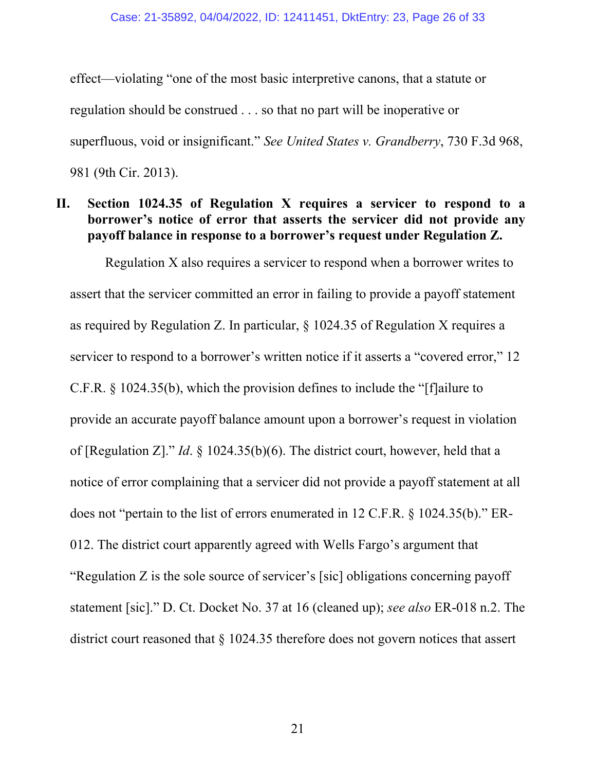effect—violating "one of the most basic interpretive canons, that a statute or regulation should be construed . . . so that no part will be inoperative or superfluous, void or insignificant." *See United States v. Grandberry*, 730 F.3d 968, 981 (9th Cir. 2013).

# **II. Section 1024.35 of Regulation X requires a servicer to respond to a borrower's notice of error that asserts the servicer did not provide any payoff balance in response to a borrower's request under Regulation Z.**

Regulation X also requires a servicer to respond when a borrower writes to assert that the servicer committed an error in failing to provide a payoff statement as required by Regulation Z. In particular, § 1024.35 of Regulation X requires a servicer to respond to a borrower's written notice if it asserts a "covered error," 12 C.F.R. § 1024.35(b), which the provision defines to include the "[f]ailure to provide an accurate payoff balance amount upon a borrower's request in violation of [Regulation Z]." *Id*. § 1024.35(b)(6). The district court, however, held that a notice of error complaining that a servicer did not provide a payoff statement at all does not "pertain to the list of errors enumerated in 12 C.F.R. § 1024.35(b)." ER-012. The district court apparently agreed with Wells Fargo's argument that "Regulation Z is the sole source of servicer's [sic] obligations concerning payoff statement [sic]." D. Ct. Docket No. 37 at 16 (cleaned up); *see also* ER-018 n.2. The district court reasoned that § 1024.35 therefore does not govern notices that assert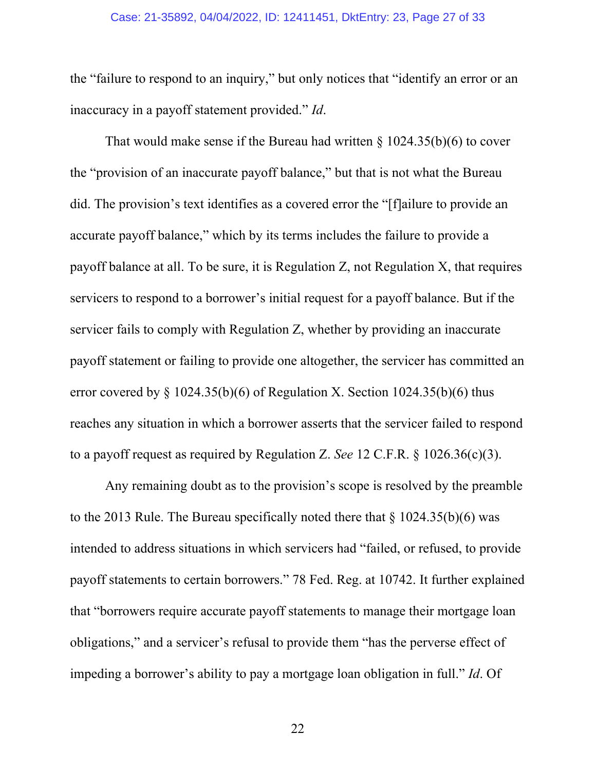#### Case: 21-35892, 04/04/2022, ID: 12411451, DktEntry: 23, Page 27 of 33

the "failure to respond to an inquiry," but only notices that "identify an error or an inaccuracy in a payoff statement provided." *Id*.

That would make sense if the Bureau had written  $\S$  1024.35(b)(6) to cover the "provision of an inaccurate payoff balance," but that is not what the Bureau did. The provision's text identifies as a covered error the "[f]ailure to provide an accurate payoff balance," which by its terms includes the failure to provide a payoff balance at all. To be sure, it is Regulation Z, not Regulation X, that requires servicers to respond to a borrower's initial request for a payoff balance. But if the servicer fails to comply with Regulation Z, whether by providing an inaccurate payoff statement or failing to provide one altogether, the servicer has committed an error covered by  $\S$  1024.35(b)(6) of Regulation X. Section 1024.35(b)(6) thus reaches any situation in which a borrower asserts that the servicer failed to respond to a payoff request as required by Regulation Z. *See* 12 C.F.R. § 1026.36(c)(3).

Any remaining doubt as to the provision's scope is resolved by the preamble to the 2013 Rule. The Bureau specifically noted there that  $\S 1024.35(b)(6)$  was intended to address situations in which servicers had "failed, or refused, to provide payoff statements to certain borrowers." 78 Fed. Reg. at 10742. It further explained that "borrowers require accurate payoff statements to manage their mortgage loan obligations," and a servicer's refusal to provide them "has the perverse effect of impeding a borrower's ability to pay a mortgage loan obligation in full." *Id*. Of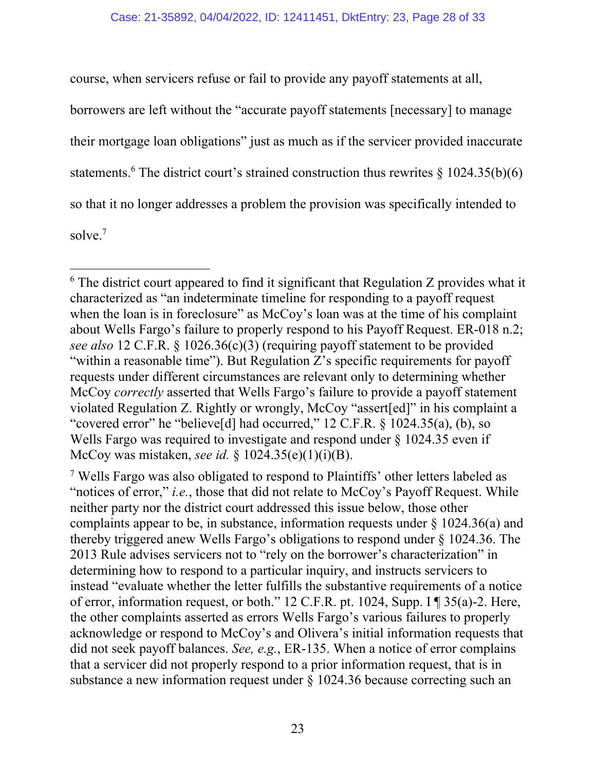course, when servicers refuse or fail to provide any payoff statements at all, borrowers are left without the "accurate payoff statements [necessary] to manage their mortgage loan obligations" just as much as if the servicer provided inaccurate statements.<sup>6</sup> The district court's strained construction thus rewrites  $\S 1024.35(b)(6)$ so that it no longer addresses a problem the provision was specifically intended to solve.7

 $6$  The district court appeared to find it significant that Regulation Z provides what it characterized as "an indeterminate timeline for responding to a payoff request when the loan is in foreclosure" as McCoy's loan was at the time of his complaint about Wells Fargo's failure to properly respond to his Payoff Request. ER-018 n.2; *see also* 12 C.F.R. § 1026.36(c)(3) (requiring payoff statement to be provided "within a reasonable time"). But Regulation Z's specific requirements for payoff requests under different circumstances are relevant only to determining whether McCoy *correctly* asserted that Wells Fargo's failure to provide a payoff statement violated Regulation Z. Rightly or wrongly, McCoy "assert[ed]" in his complaint a "covered error" he "believe<sup>[d]</sup> had occurred," 12 C.F.R. § 1024.35(a), (b), so Wells Fargo was required to investigate and respond under § 1024.35 even if McCoy was mistaken, *see id.* § 1024.35(e)(1)(i)(B).

<sup>7</sup> Wells Fargo was also obligated to respond to Plaintiffs' other letters labeled as "notices of error," *i.e.*, those that did not relate to McCoy's Payoff Request. While neither party nor the district court addressed this issue below, those other complaints appear to be, in substance, information requests under  $\S 1024.36(a)$  and thereby triggered anew Wells Fargo's obligations to respond under § 1024.36. The 2013 Rule advises servicers not to "rely on the borrower's characterization" in determining how to respond to a particular inquiry, and instructs servicers to instead "evaluate whether the letter fulfills the substantive requirements of a notice of error, information request, or both." 12 C.F.R. pt. 1024, Supp. I ¶ 35(a)-2. Here, the other complaints asserted as errors Wells Fargo's various failures to properly acknowledge or respond to McCoy's and Olivera's initial information requests that did not seek payoff balances. *See, e.g.*, ER-135. When a notice of error complains that a servicer did not properly respond to a prior information request, that is in substance a new information request under § 1024.36 because correcting such an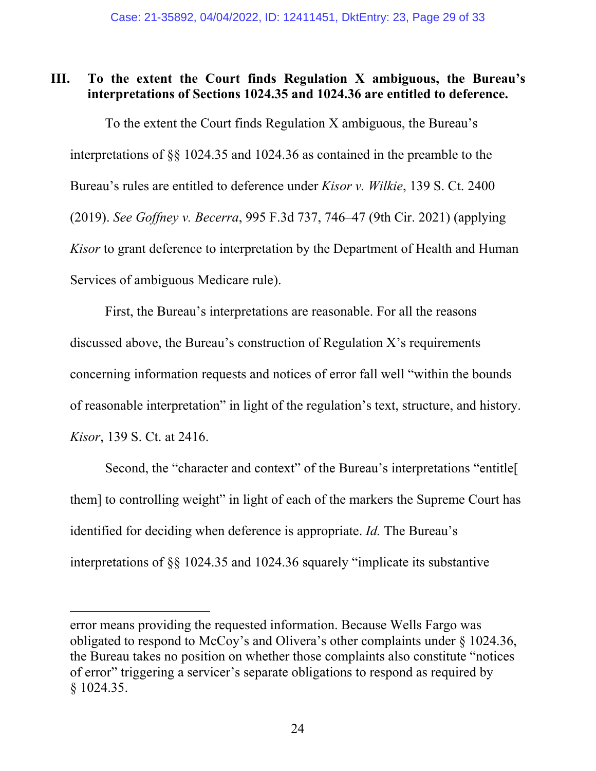# **III. To the extent the Court finds Regulation X ambiguous, the Bureau's interpretations of Sections 1024.35 and 1024.36 are entitled to deference.**

 To the extent the Court finds Regulation X ambiguous, the Bureau's interpretations of §§ 1024.35 and 1024.36 as contained in the preamble to the Bureau's rules are entitled to deference under *Kisor v. Wilkie*, 139 S. Ct. 2400 (2019). *See Goffney v. Becerra*, 995 F.3d 737, 746–47 (9th Cir. 2021) (applying *Kisor* to grant deference to interpretation by the Department of Health and Human Services of ambiguous Medicare rule).

First, the Bureau's interpretations are reasonable. For all the reasons discussed above, the Bureau's construction of Regulation X's requirements concerning information requests and notices of error fall well "within the bounds of reasonable interpretation" in light of the regulation's text, structure, and history. *Kisor*, 139 S. Ct. at 2416.

Second, the "character and context" of the Bureau's interpretations "entitle[ them] to controlling weight" in light of each of the markers the Supreme Court has identified for deciding when deference is appropriate. *Id.* The Bureau's interpretations of §§ 1024.35 and 1024.36 squarely "implicate its substantive

error means providing the requested information. Because Wells Fargo was obligated to respond to McCoy's and Olivera's other complaints under § 1024.36, the Bureau takes no position on whether those complaints also constitute "notices of error" triggering a servicer's separate obligations to respond as required by § 1024.35.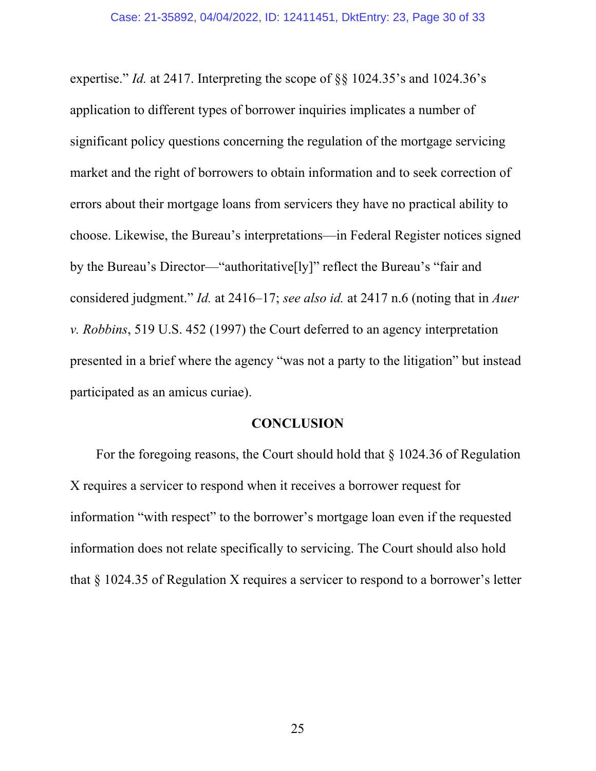expertise." *Id.* at 2417. Interpreting the scope of §§ 1024.35's and 1024.36's application to different types of borrower inquiries implicates a number of significant policy questions concerning the regulation of the mortgage servicing market and the right of borrowers to obtain information and to seek correction of errors about their mortgage loans from servicers they have no practical ability to choose. Likewise, the Bureau's interpretations—in Federal Register notices signed by the Bureau's Director—"authoritative[ly]" reflect the Bureau's "fair and considered judgment." *Id.* at 2416–17; *see also id.* at 2417 n.6 (noting that in *Auer v. Robbins*, 519 U.S. 452 (1997) the Court deferred to an agency interpretation presented in a brief where the agency "was not a party to the litigation" but instead participated as an amicus curiae).

### **CONCLUSION**

For the foregoing reasons, the Court should hold that § 1024.36 of Regulation X requires a servicer to respond when it receives a borrower request for information "with respect" to the borrower's mortgage loan even if the requested information does not relate specifically to servicing. The Court should also hold that § 1024.35 of Regulation X requires a servicer to respond to a borrower's letter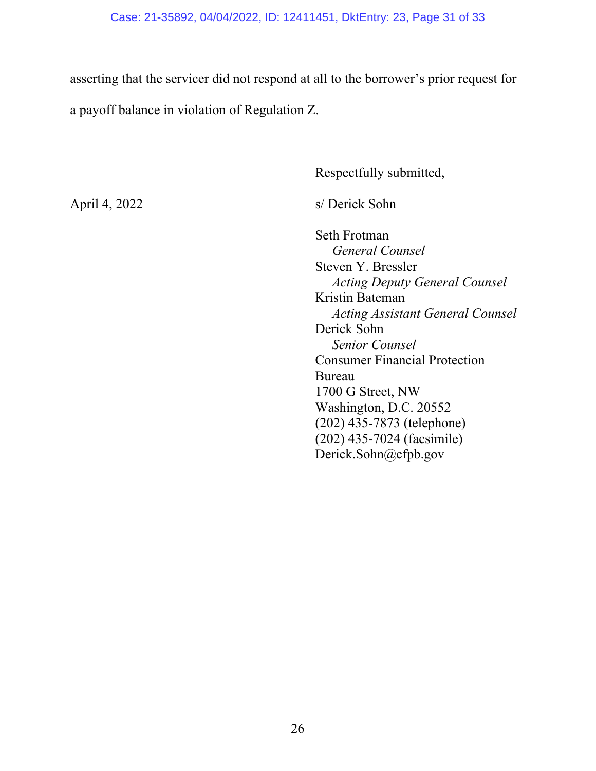### Case: 21-35892, 04/04/2022, ID: 12411451, DktEntry: 23, Page 31 of 33

asserting that the servicer did not respond at all to the borrower's prior request for a payoff balance in violation of Regulation Z.

Respectfully submitted,

April 4, 2022 s/ Derick Sohn

 Seth Frotman  *General Counsel*  Steven Y. Bressler  *Acting Deputy General Counsel*  Kristin Bateman  *Acting Assistant General Counsel*  Derick Sohn  *Senior Counsel*  Consumer Financial Protection Bureau 1700 G Street, NW Washington, D.C. 20552 (202) 435-7873 (telephone) (202) 435-7024 (facsimile) Derick.Sohn@cfpb.gov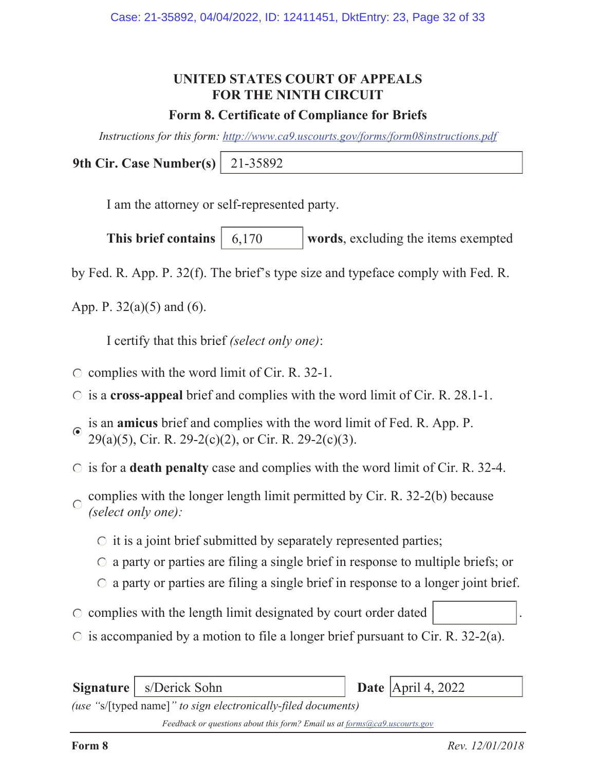# **UNITED STATES COURT OF APPEALS FOR THE NINTH CIRCUIT**

# **Form 8. Certificate of Compliance for Briefs**

*Instructions for this form: http://www.ca9.uscourts.gov/forms/form08instructions.pdf*

**9th Cir. Case Number(s)** 21-35892

I am the attorney or self-represented party.

**This brief contains** | 6,170 words, excluding the items exempted 6,170

by Fed. R. App. P. 32(f). The brief's type size and typeface comply with Fed. R.

App. P.  $32(a)(5)$  and (6).

I certify that this brief *(select only one)*:

- $\circ$  complies with the word limit of Cir. R. 32-1.
- is a **cross-appeal** brief and complies with the word limit of Cir. R. 28.1-1.
- is an **amicus** brief and complies with the word limit of Fed. R. App. P.  $\odot$ 29(a)(5), Cir. R. 29-2(c)(2), or Cir. R. 29-2(c)(3).
- is for a **death penalty** case and complies with the word limit of Cir. R. 32-4.
- complies with the longer length limit permitted by Cir. R. 32-2(b) because  $\bigcap$ *(select only one):*
	- $\circ$  it is a joint brief submitted by separately represented parties;
	- $\circ$  a party or parties are filing a single brief in response to multiple briefs; or
	- $\circ$  a party or parties are filing a single brief in response to a longer joint brief.
- $\circ$  complies with the length limit designated by court order dated
- $\circ$  is accompanied by a motion to file a longer brief pursuant to Cir. R. 32-2(a).

**Signature** | s/Derick Sohn *(use "*s/[typed name]*" to sign electronically-filed documents)* Date  $\text{April } 4, 2022$ 

*Feedback or questions about this form? Email us at forms@ca9.uscourts.gov*